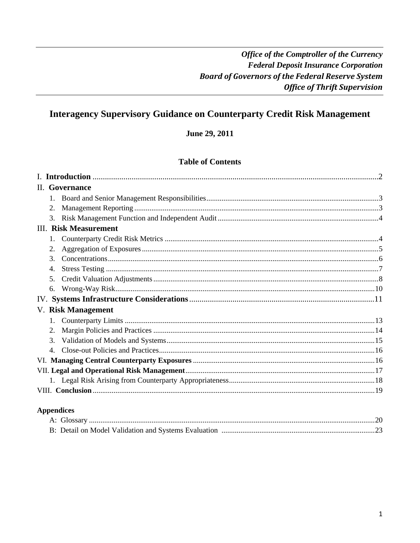# **Interagency Supervisory Guidance on Counterparty Credit Risk Management**

June 29, 2011

### **Table of Contents**

| II. Governance               |  |
|------------------------------|--|
|                              |  |
|                              |  |
| 3.                           |  |
| <b>III.</b> Risk Measurement |  |
|                              |  |
| 2.                           |  |
| 3 <sub>1</sub>               |  |
| 4.                           |  |
| 5 <sub>1</sub>               |  |
| 6.                           |  |
|                              |  |
| V. Risk Management           |  |
|                              |  |
| 2.                           |  |
| 3.                           |  |
| $4_{\cdot}$                  |  |
|                              |  |
|                              |  |
|                              |  |
|                              |  |
|                              |  |

# **Appendices**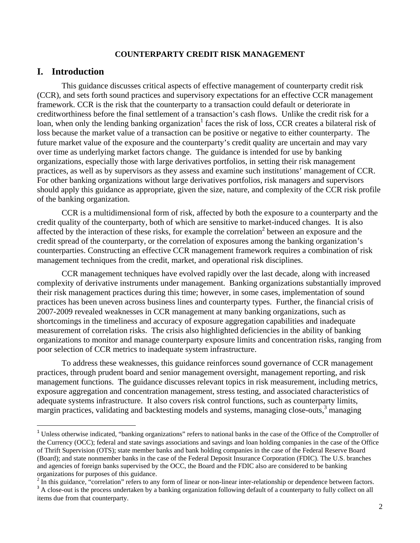### **COUNTERPARTY CREDIT RISK MANAGEMENT**

### **I. Introduction**

This guidance discusses critical aspects of effective management of counterparty credit risk (CCR), and sets forth sound practices and supervisory expectations for an effective CCR management framework. CCR is the risk that the counterparty to a transaction could default or deteriorate in creditworthiness before the final settlement of a transaction's cash flows. Unlike the credit risk for a loan, when only the lending banking organization<sup>1</sup> faces the risk of loss, CCR creates a bilateral risk of loss because the market value of a transaction can be positive or negative to either counterparty. The future market value of the exposure and the counterparty's credit quality are uncertain and may vary over time as underlying market factors change. The guidance is intended for use by banking organizations, especially those with large derivatives portfolios, in setting their risk management practices, as well as by supervisors as they assess and examine such institutions' management of CCR. For other banking organizations without large derivatives portfolios, risk managers and supervisors should apply this guidance as appropriate, given the size, nature, and complexity of the CCR risk profile of the banking organization.

CCR is a multidimensional form of risk, affected by both the exposure to a counterparty and the credit quality of the counterparty, both of which are sensitive to market-induced changes. It is also affected by the interaction of these risks, for example the correlation<sup>2</sup> between an exposure and the credit spread of the counterparty, or the correlation of exposures among the banking organization's counterparties. Constructing an effective CCR management framework requires a combination of risk management techniques from the credit, market, and operational risk disciplines.

CCR management techniques have evolved rapidly over the last decade, along with increased complexity of derivative instruments under management. Banking organizations substantially improved their risk management practices during this time; however, in some cases, implementation of sound practices has been uneven across business lines and counterparty types. Further, the financial crisis of 2007-2009 revealed weaknesses in CCR management at many banking organizations, such as shortcomings in the timeliness and accuracy of exposure aggregation capabilities and inadequate measurement of correlation risks. The crisis also highlighted deficiencies in the ability of banking organizations to monitor and manage counterparty exposure limits and concentration risks, ranging from poor selection of CCR metrics to inadequate system infrastructure.

To address these weaknesses, this guidance reinforces sound governance of CCR management practices, through prudent board and senior management oversight, management reporting, and risk management functions. The guidance discusses relevant topics in risk measurement, including metrics, exposure aggregation and concentration management, stress testing, and associated characteristics of adequate systems infrastructure. It also covers risk control functions, such as counterparty limits, margin practices, validating and backtesting models and systems, managing close-outs,<sup>3</sup> managing

<sup>&</sup>lt;sup>1</sup> Unless otherwise indicated, "banking organizations" refers to national banks in the case of the Office of the Comptroller of the Currency (OCC); federal and state savings associations and savings and loan holding companies in the case of the Office of Thrift Supervision (OTS); state member banks and bank holding companies in the case of the Federal Reserve Board (Board); and state nonmember banks in the case of the Federal Deposit Insurance Corporation (FDIC). The U.S. branches and agencies of foreign banks supervised by the OCC, the Board and the FDIC also are considered to be banking organizations for purposes of this guidance.

 $2\text{ In this guidance, "correlation" refers to any form of linear or non-linear inter-relationship or dependence between factors.}$ 

<sup>&</sup>lt;sup>3</sup> A close-out is the process undertaken by a banking organization following default of a counterparty to fully collect on all items due from that counterparty.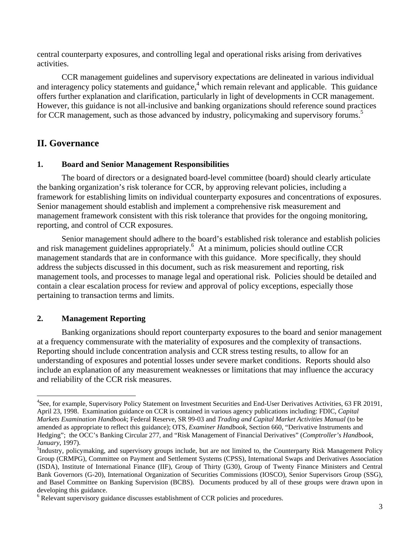central counterparty exposures, and controlling legal and operational risks arising from derivatives activities.

CCR management guidelines and supervisory expectations are delineated in various individual and interagency policy statements and guidance,<sup>4</sup> which remain relevant and applicable. This guidance offers further explanation and clarification, particularly in light of developments in CCR management. However, this guidance is not all-inclusive and banking organizations should reference sound practices for CCR management, such as those advanced by industry, policymaking and supervisory forums.<sup>5</sup>

### **II. Governance**

#### **1. Board and Senior Management Responsibilities**

The board of directors or a designated board-level committee (board) should clearly articulate the banking organization's risk tolerance for CCR, by approving relevant policies, including a framework for establishing limits on individual counterparty exposures and concentrations of exposures. Senior management should establish and implement a comprehensive risk measurement and management framework consistent with this risk tolerance that provides for the ongoing monitoring, reporting, and control of CCR exposures.

Senior management should adhere to the board's established risk tolerance and establish policies and risk management guidelines appropriately.<sup>6</sup> At a minimum, policies should outline CCR management standards that are in conformance with this guidance. More specifically, they should address the subjects discussed in this document, such as risk measurement and reporting, risk management tools, and processes to manage legal and operational risk. Policies should be detailed and contain a clear escalation process for review and approval of policy exceptions, especially those pertaining to transaction terms and limits.

### **2. Management Reporting**

Banking organizations should report counterparty exposures to the board and senior management at a frequency commensurate with the materiality of exposures and the complexity of transactions. Reporting should include concentration analysis and CCR stress testing results, to allow for an understanding of exposures and potential losses under severe market conditions. Reports should also include an explanation of any measurement weaknesses or limitations that may influence the accuracy and reliability of the CCR risk measures.

<sup>&</sup>lt;sup>4</sup>See, for example, Supervisory Policy Statement on Investment Securities and End-User Derivatives Activities, 63 FR 20191, April 23, 1998. Examination guidance on CCR is contained in various agency publications including: FDIC, *Capital Markets Examination Handbook*; Federal Reserve, SR 99-03 and *Trading and Capital Market Activities Manual* (to be amended as appropriate to reflect this guidance); OTS, *Examiner Handbook*, Section 660, "Derivative Instruments and Hedging"; the OCC's Banking Circular 277, and "Risk Management of Financial Derivatives" (*Comptroller's Handbook, January*, 1997).

<sup>&</sup>lt;sup>5</sup>Industry, policymaking, and supervisory groups include, but are not limited to, the Counterparty Risk Management Policy Group (CRMPG), Committee on Payment and Settlement Systems (CPSS), International Swaps and Derivatives Association (ISDA), Institute of International Finance (IIF), Group of Thirty (G30), Group of Twenty Finance Ministers and Central Bank Governors (G-20), International Organization of Securities Commissions (IOSCO), Senior Supervisors Group (SSG), and Basel Committee on Banking Supervision (BCBS). Documents produced by all of these groups were drawn upon in developing this guidance.

<sup>&</sup>lt;sup>6</sup> Relevant supervisory guidance discusses establishment of CCR policies and procedures.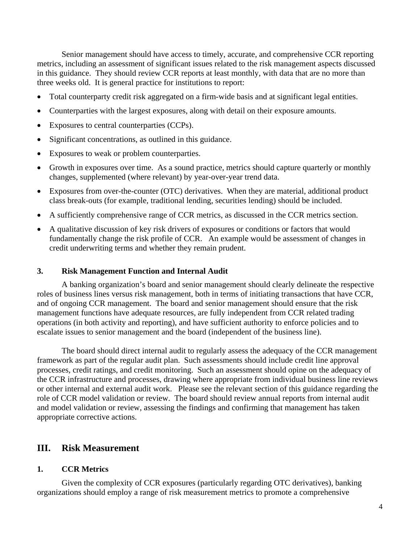Senior management should have access to timely, accurate, and comprehensive CCR reporting metrics, including an assessment of significant issues related to the risk management aspects discussed in this guidance. They should review CCR reports at least monthly, with data that are no more than three weeks old. It is general practice for institutions to report:

- Total counterparty credit risk aggregated on a firm-wide basis and at significant legal entities.
- Counterparties with the largest exposures, along with detail on their exposure amounts.
- Exposures to central counterparties (CCPs).
- Significant concentrations, as outlined in this guidance.
- Exposures to weak or problem counterparties.
- Growth in exposures over time. As a sound practice, metrics should capture quarterly or monthly changes, supplemented (where relevant) by year-over-year trend data.
- Exposures from over-the-counter (OTC) derivatives. When they are material, additional product class break-outs (for example, traditional lending, securities lending) should be included.
- A sufficiently comprehensive range of CCR metrics, as discussed in the CCR metrics section.
- A qualitative discussion of key risk drivers of exposures or conditions or factors that would fundamentally change the risk profile of CCR. An example would be assessment of changes in credit underwriting terms and whether they remain prudent.

#### **3. Risk Management Function and Internal Audit**

A banking organization's board and senior management should clearly delineate the respective roles of business lines versus risk management, both in terms of initiating transactions that have CCR, and of ongoing CCR management. The board and senior management should ensure that the risk management functions have adequate resources, are fully independent from CCR related trading operations (in both activity and reporting), and have sufficient authority to enforce policies and to escalate issues to senior management and the board (independent of the business line).

The board should direct internal audit to regularly assess the adequacy of the CCR management framework as part of the regular audit plan. Such assessments should include credit line approval processes, credit ratings, and credit monitoring. Such an assessment should opine on the adequacy of the CCR infrastructure and processes, drawing where appropriate from individual business line reviews or other internal and external audit work. Please see the relevant section of this guidance regarding the role of CCR model validation or review. The board should review annual reports from internal audit and model validation or review, assessing the findings and confirming that management has taken appropriate corrective actions.

### **III. Risk Measurement**

#### **1. CCR Metrics**

Given the complexity of CCR exposures (particularly regarding OTC derivatives), banking organizations should employ a range of risk measurement metrics to promote a comprehensive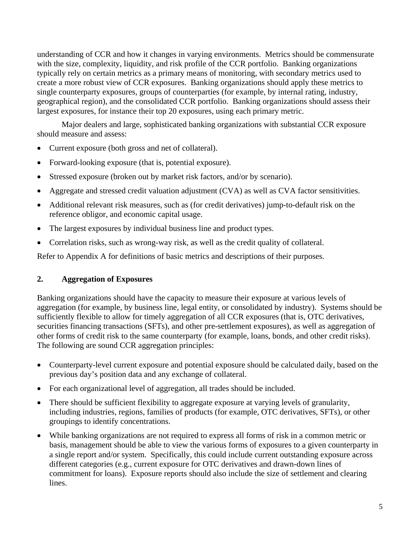understanding of CCR and how it changes in varying environments. Metrics should be commensurate with the size, complexity, liquidity, and risk profile of the CCR portfolio. Banking organizations typically rely on certain metrics as a primary means of monitoring, with secondary metrics used to create a more robust view of CCR exposures. Banking organizations should apply these metrics to single counterparty exposures, groups of counterparties (for example, by internal rating, industry, geographical region), and the consolidated CCR portfolio. Banking organizations should assess their largest exposures, for instance their top 20 exposures, using each primary metric.

Major dealers and large, sophisticated banking organizations with substantial CCR exposure should measure and assess:

- Current exposure (both gross and net of collateral).
- Forward-looking exposure (that is, potential exposure).
- Stressed exposure (broken out by market risk factors, and/or by scenario).
- Aggregate and stressed credit valuation adjustment (CVA) as well as CVA factor sensitivities.
- Additional relevant risk measures, such as (for credit derivatives) jump-to-default risk on the reference obligor, and economic capital usage.
- The largest exposures by individual business line and product types.
- Correlation risks, such as wrong-way risk, as well as the credit quality of collateral.

Refer to Appendix A for definitions of basic metrics and descriptions of their purposes.

# **2. Aggregation of Exposures**

Banking organizations should have the capacity to measure their exposure at various levels of aggregation (for example, by business line, legal entity, or consolidated by industry). Systems should be sufficiently flexible to allow for timely aggregation of all CCR exposures (that is, OTC derivatives, securities financing transactions (SFTs), and other pre-settlement exposures), as well as aggregation of other forms of credit risk to the same counterparty (for example, loans, bonds, and other credit risks). The following are sound CCR aggregation principles:

- Counterparty-level current exposure and potential exposure should be calculated daily, based on the previous day's position data and any exchange of collateral.
- For each organizational level of aggregation, all trades should be included.
- There should be sufficient flexibility to aggregate exposure at varying levels of granularity, including industries, regions, families of products (for example, OTC derivatives, SFTs), or other groupings to identify concentrations.
- While banking organizations are not required to express all forms of risk in a common metric or basis, management should be able to view the various forms of exposures to a given counterparty in a single report and/or system. Specifically, this could include current outstanding exposure across different categories (e.g., current exposure for OTC derivatives and drawn-down lines of commitment for loans). Exposure reports should also include the size of settlement and clearing lines.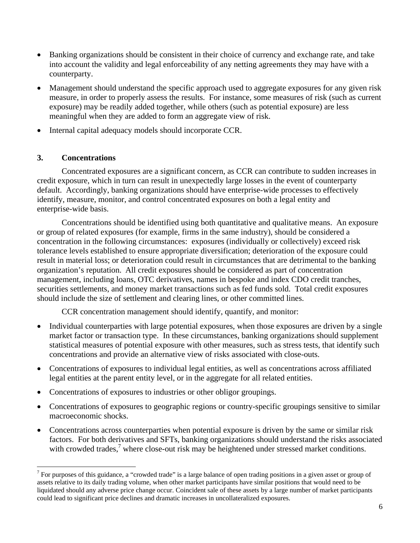- Banking organizations should be consistent in their choice of currency and exchange rate, and take into account the validity and legal enforceability of any netting agreements they may have with a counterparty.
- Management should understand the specific approach used to aggregate exposures for any given risk measure, in order to properly assess the results. For instance, some measures of risk (such as current exposure) may be readily added together, while others (such as potential exposure) are less meaningful when they are added to form an aggregate view of risk.
- Internal capital adequacy models should incorporate CCR.

### **3. Concentrations**

Concentrated exposures are a significant concern, as CCR can contribute to sudden increases in credit exposure, which in turn can result in unexpectedly large losses in the event of counterparty default. Accordingly, banking organizations should have enterprise-wide processes to effectively identify, measure, monitor, and control concentrated exposures on both a legal entity and enterprise-wide basis.

Concentrations should be identified using both quantitative and qualitative means. An exposure or group of related exposures (for example, firms in the same industry), should be considered a concentration in the following circumstances: exposures (individually or collectively) exceed risk tolerance levels established to ensure appropriate diversification; deterioration of the exposure could result in material loss; or deterioration could result in circumstances that are detrimental to the banking organization's reputation. All credit exposures should be considered as part of concentration management, including loans, OTC derivatives, names in bespoke and index CDO credit tranches, securities settlements, and money market transactions such as fed funds sold. Total credit exposures should include the size of settlement and clearing lines, or other committed lines.

CCR concentration management should identify, quantify, and monitor:

- Individual counterparties with large potential exposures, when those exposures are driven by a single market factor or transaction type. In these circumstances, banking organizations should supplement statistical measures of potential exposure with other measures, such as stress tests, that identify such concentrations and provide an alternative view of risks associated with close-outs.
- Concentrations of exposures to individual legal entities, as well as concentrations across affiliated legal entities at the parent entity level, or in the aggregate for all related entities.
- Concentrations of exposures to industries or other obligor groupings.
- Concentrations of exposures to geographic regions or country-specific groupings sensitive to similar macroeconomic shocks.
- Concentrations across counterparties when potential exposure is driven by the same or similar risk factors. For both derivatives and SFTs, banking organizations should understand the risks associated with crowded trades,<sup>7</sup> where close-out risk may be heightened under stressed market conditions.

<sup>&</sup>lt;sup>7</sup> For purposes of this guidance, a "crowded trade" is a large balance of open trading positions in a given asset or group of assets relative to its daily trading volume, when other market participants have similar positions that would need to be liquidated should any adverse price change occur. Coincident sale of these assets by a large number of market participants could lead to significant price declines and dramatic increases in uncollateralized exposures.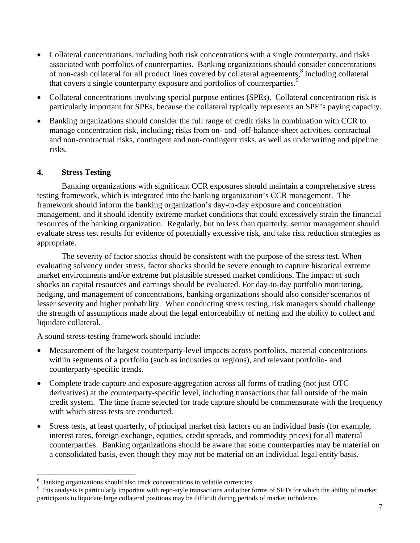- Collateral concentrations, including both risk concentrations with a single counterparty, and risks associated with portfolios of counterparties. Banking organizations should consider concentrations of non-cash collateral for all product lines covered by collateral agreements;<sup>8</sup> including collateral that covers a single counterparty exposure and portfolios of counterparties.<sup>9</sup>
- Collateral concentrations involving special purpose entities (SPEs). Collateral concentration risk is particularly important for SPEs, because the collateral typically represents an SPE's paying capacity.
- Banking organizations should consider the full range of credit risks in combination with CCR to manage concentration risk, including; risks from on- and -off-balance-sheet activities, contractual and non-contractual risks, contingent and non-contingent risks, as well as underwriting and pipeline risks.

### **4. Stress Testing**

Banking organizations with significant CCR exposures should maintain a comprehensive stress testing framework, which is integrated into the banking organization's CCR management. The framework should inform the banking organization's day-to-day exposure and concentration management, and it should identify extreme market conditions that could excessively strain the financial resources of the banking organization. Regularly, but no less than quarterly, senior management should evaluate stress test results for evidence of potentially excessive risk, and take risk reduction strategies as appropriate.

The severity of factor shocks should be consistent with the purpose of the stress test. When evaluating solvency under stress, factor shocks should be severe enough to capture historical extreme market environments and/or extreme but plausible stressed market conditions. The impact of such shocks on capital resources and earnings should be evaluated. For day-to-day portfolio monitoring, hedging, and management of concentrations, banking organizations should also consider scenarios of lesser severity and higher probability. When conducting stress testing, risk managers should challenge the strength of assumptions made about the legal enforceability of netting and the ability to collect and liquidate collateral.

A sound stress-testing framework should include:

- Measurement of the largest counterparty-level impacts across portfolios, material concentrations within segments of a portfolio (such as industries or regions), and relevant portfolio- and counterparty-specific trends.
- Complete trade capture and exposure aggregation across all forms of trading (not just OTC derivatives) at the counterparty-specific level, including transactions that fall outside of the main credit system. The time frame selected for trade capture should be commensurate with the frequency with which stress tests are conducted.
- Stress tests, at least quarterly, of principal market risk factors on an individual basis (for example, interest rates, foreign exchange, equities, credit spreads, and commodity prices) for all material counterparties. Banking organizations should be aware that some counterparties may be material on a consolidated basis, even though they may not be material on an individual legal entity basis.

<sup>&</sup>lt;sup>8</sup> Banking organizations should also track concentrations in volatile currencies.

<sup>&</sup>lt;sup>9</sup> This analysis is particularly important with repo-style transactions and other forms of SFTs for which the ability of market participants to liquidate large collateral positions may be difficult during periods of market turbulence.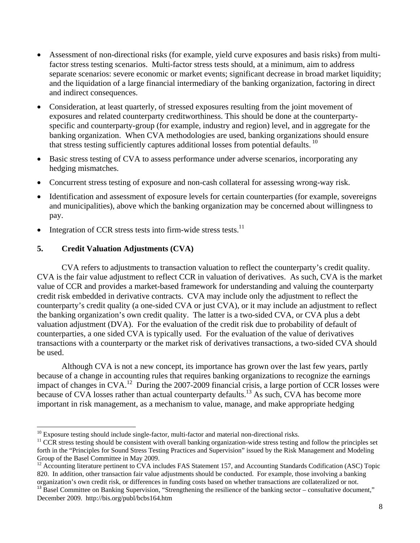- Assessment of non-directional risks (for example, yield curve exposures and basis risks) from multifactor stress testing scenarios. Multi-factor stress tests should, at a minimum, aim to address separate scenarios: severe economic or market events; significant decrease in broad market liquidity; and the liquidation of a large financial intermediary of the banking organization, factoring in direct and indirect consequences.
- Consideration, at least quarterly, of stressed exposures resulting from the joint movement of exposures and related counterparty creditworthiness. This should be done at the counterpartyspecific and counterparty-group (for example, industry and region) level, and in aggregate for the banking organization. When CVA methodologies are used, banking organizations should ensure that stress testing sufficiently captures additional losses from potential defaults.<sup>10</sup>
- Basic stress testing of CVA to assess performance under adverse scenarios, incorporating any hedging mismatches.
- Concurrent stress testing of exposure and non-cash collateral for assessing wrong-way risk.
- Identification and assessment of exposure levels for certain counterparties (for example, sovereigns and municipalities), above which the banking organization may be concerned about willingness to pay.
- Integration of CCR stress tests into firm-wide stress tests. $^{11}$

### **5. Credit Valuation Adjustments (CVA)**

CVA refers to adjustments to transaction valuation to reflect the counterparty's credit quality. CVA is the fair value adjustment to reflect CCR in valuation of derivatives. As such, CVA is the market value of CCR and provides a market-based framework for understanding and valuing the counterparty credit risk embedded in derivative contracts. CVA may include only the adjustment to reflect the counterparty's credit quality (a one-sided CVA or just CVA), or it may include an adjustment to reflect the banking organization's own credit quality. The latter is a two-sided CVA, or CVA plus a debt valuation adjustment (DVA). For the evaluation of the credit risk due to probability of default of counterparties, a one sided CVA is typically used. For the evaluation of the value of derivatives transactions with a counterparty or the market risk of derivatives transactions, a two-sided CVA should be used.

Although CVA is not a new concept, its importance has grown over the last few years, partly because of a change in accounting rules that requires banking organizations to recognize the earnings impact of changes in CVA.<sup>12</sup> During the 2007-2009 financial crisis, a large portion of CCR losses were because of CVA losses rather than actual counterparty defaults.<sup>13</sup> As such, CVA has become more important in risk management, as a mechanism to value, manage, and make appropriate hedging

 $10$  Exposure testing should include single-factor, multi-factor and material non-directional risks.

 $11$  CCR stress testing should be consistent with overall banking organization-wide stress testing and follow the principles set forth in the "Principles for Sound Stress Testing Practices and Supervision" issued by the Risk Management and Modeling Group of the Basel Committee in May 2009.

<sup>&</sup>lt;sup>12</sup> Accounting literature pertinent to CVA includes FAS Statement 157, and Accounting Standards Codification (ASC) Topic 820. In addition, other transaction fair value adjustments should be conducted. For example, those involving a banking organization's own credit risk, or differences in funding costs based on whether transactions are collateralized or not.

 $13$  Basel Committee on Banking Supervision, "Strengthening the resilience of the banking sector – consultative document," December 2009. http://bis.org/publ/bcbs164.htm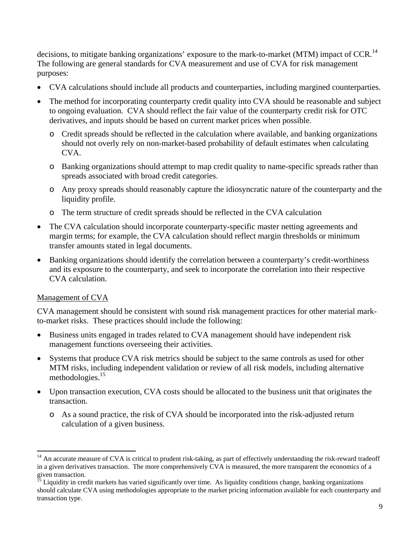decisions, to mitigate banking organizations' exposure to the mark-to-market (MTM) impact of CCR.<sup>14</sup> The following are general standards for CVA measurement and use of CVA for risk management purposes:

- CVA calculations should include all products and counterparties, including margined counterparties.
- The method for incorporating counterparty credit quality into CVA should be reasonable and subject to ongoing evaluation. CVA should reflect the fair value of the counterparty credit risk for OTC derivatives, and inputs should be based on current market prices when possible.
	- o Credit spreads should be reflected in the calculation where available, and banking organizations should not overly rely on non-market-based probability of default estimates when calculating CVA.
	- o Banking organizations should attempt to map credit quality to name-specific spreads rather than spreads associated with broad credit categories.
	- o Any proxy spreads should reasonably capture the idiosyncratic nature of the counterparty and the liquidity profile.
	- o The term structure of credit spreads should be reflected in the CVA calculation
- The CVA calculation should incorporate counterparty-specific master netting agreements and margin terms; for example, the CVA calculation should reflect margin thresholds or minimum transfer amounts stated in legal documents.
- Banking organizations should identify the correlation between a counterparty's credit-worthiness and its exposure to the counterparty, and seek to incorporate the correlation into their respective CVA calculation.

### Management of CVA

CVA management should be consistent with sound risk management practices for other material markto-market risks. These practices should include the following:

- Business units engaged in trades related to CVA management should have independent risk management functions overseeing their activities.
- Systems that produce CVA risk metrics should be subject to the same controls as used for other MTM risks, including independent validation or review of all risk models, including alternative methodologies.<sup>15</sup>
- Upon transaction execution, CVA costs should be allocated to the business unit that originates the transaction.
	- o As a sound practice, the risk of CVA should be incorporated into the risk-adjusted return calculation of a given business.

<sup>&</sup>lt;sup>14</sup> An accurate measure of CVA is critical to prudent risk-taking, as part of effectively understanding the risk-reward tradeoff in a given derivatives transaction. The more comprehensively CVA is measured, the more transparent the economics of a given transaction.

<sup>&</sup>lt;sup>15</sup> Liquidity in credit markets has varied significantly over time. As liquidity conditions change, banking organizations should calculate CVA using methodologies appropriate to the market pricing information available for each counterparty and transaction type.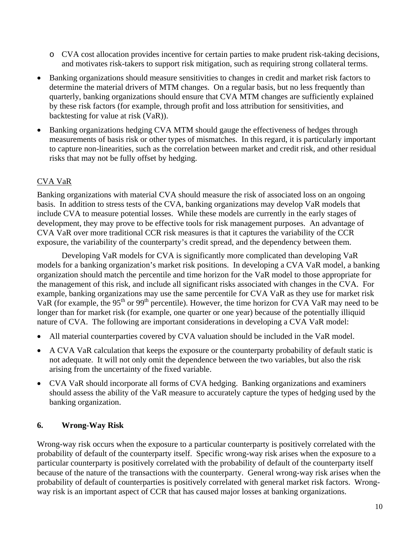- o CVA cost allocation provides incentive for certain parties to make prudent risk-taking decisions, and motivates risk-takers to support risk mitigation, such as requiring strong collateral terms.
- Banking organizations should measure sensitivities to changes in credit and market risk factors to determine the material drivers of MTM changes. On a regular basis, but no less frequently than quarterly, banking organizations should ensure that CVA MTM changes are sufficiently explained by these risk factors (for example, through profit and loss attribution for sensitivities, and backtesting for value at risk (VaR)).
- Banking organizations hedging CVA MTM should gauge the effectiveness of hedges through measurements of basis risk or other types of mismatches. In this regard, it is particularly important to capture non-linearities, such as the correlation between market and credit risk, and other residual risks that may not be fully offset by hedging.

## CVA VaR

Banking organizations with material CVA should measure the risk of associated loss on an ongoing basis. In addition to stress tests of the CVA, banking organizations may develop VaR models that include CVA to measure potential losses. While these models are currently in the early stages of development, they may prove to be effective tools for risk management purposes. An advantage of CVA VaR over more traditional CCR risk measures is that it captures the variability of the CCR exposure, the variability of the counterparty's credit spread, and the dependency between them.

Developing VaR models for CVA is significantly more complicated than developing VaR models for a banking organization's market risk positions. In developing a CVA VaR model, a banking organization should match the percentile and time horizon for the VaR model to those appropriate for the management of this risk, and include all significant risks associated with changes in the CVA. For example, banking organizations may use the same percentile for CVA VaR as they use for market risk VaR (for example, the 95<sup>th</sup> or 99<sup>th</sup> percentile). However, the time horizon for CVA VaR may need to be longer than for market risk (for example, one quarter or one year) because of the potentially illiquid nature of CVA. The following are important considerations in developing a CVA VaR model:

- All material counterparties covered by CVA valuation should be included in the VaR model.
- A CVA VaR calculation that keeps the exposure or the counterparty probability of default static is not adequate. It will not only omit the dependence between the two variables, but also the risk arising from the uncertainty of the fixed variable.
- CVA VaR should incorporate all forms of CVA hedging. Banking organizations and examiners should assess the ability of the VaR measure to accurately capture the types of hedging used by the banking organization.

### **6. Wrong-Way Risk**

Wrong-way risk occurs when the exposure to a particular counterparty is positively correlated with the probability of default of the counterparty itself. Specific wrong-way risk arises when the exposure to a particular counterparty is positively correlated with the probability of default of the counterparty itself because of the nature of the transactions with the counterparty. General wrong-way risk arises when the probability of default of counterparties is positively correlated with general market risk factors. Wrongway risk is an important aspect of CCR that has caused major losses at banking organizations.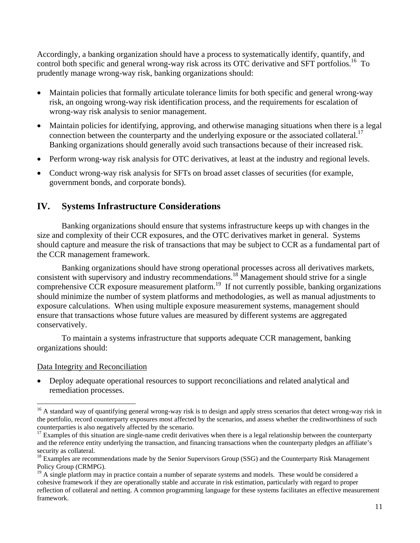Accordingly, a banking organization should have a process to systematically identify, quantify, and control both specific and general wrong-way risk across its OTC derivative and SFT portfolios.<sup>16</sup> To prudently manage wrong-way risk, banking organizations should:

- Maintain policies that formally articulate tolerance limits for both specific and general wrong-way risk, an ongoing wrong-way risk identification process, and the requirements for escalation of wrong-way risk analysis to senior management.
- Maintain policies for identifying, approving, and otherwise managing situations when there is a legal connection between the counterparty and the underlying exposure or the associated collateral.<sup>17</sup> Banking organizations should generally avoid such transactions because of their increased risk.
- Perform wrong-way risk analysis for OTC derivatives, at least at the industry and regional levels.
- Conduct wrong-way risk analysis for SFTs on broad asset classes of securities (for example, government bonds, and corporate bonds).

# **IV. Systems Infrastructure Considerations**

Banking organizations should ensure that systems infrastructure keeps up with changes in the size and complexity of their CCR exposures, and the OTC derivatives market in general. Systems should capture and measure the risk of transactions that may be subject to CCR as a fundamental part of the CCR management framework.

Banking organizations should have strong operational processes across all derivatives markets, consistent with supervisory and industry recommendations.<sup>18</sup> Management should strive for a single comprehensive CCR exposure measurement platform.<sup>19</sup> If not currently possible, banking organizations should minimize the number of system platforms and methodologies, as well as manual adjustments to exposure calculations. When using multiple exposure measurement systems, management should ensure that transactions whose future values are measured by different systems are aggregated conservatively.

To maintain a systems infrastructure that supports adequate CCR management, banking organizations should:

### Data Integrity and Reconciliation

 Deploy adequate operational resources to support reconciliations and related analytical and remediation processes.

<sup>&</sup>lt;sup>16</sup> A standard way of quantifying general wrong-way risk is to design and apply stress scenarios that detect wrong-way risk in the portfolio, record counterparty exposures most affected by the scenarios, and assess whether the creditworthiness of such counterparties is also negatively affected by the scenario.<br><sup>17</sup> Examples of this situation are single-name credit derivatives when there is a legal relationship between the counterparty

and the reference entity underlying the transaction, and financing transactions when the counterparty pledges an affiliate's security as collateral.

<sup>&</sup>lt;sup>18</sup> Examples are recommendations made by the Senior Supervisors Group (SSG) and the Counterparty Risk Management Policy Group (CRMPG).

 $19$  A single platform may in practice contain a number of separate systems and models. These would be considered a cohesive framework if they are operationally stable and accurate in risk estimation, particularly with regard to proper reflection of collateral and netting. A common programming language for these systems facilitates an effective measurement framework.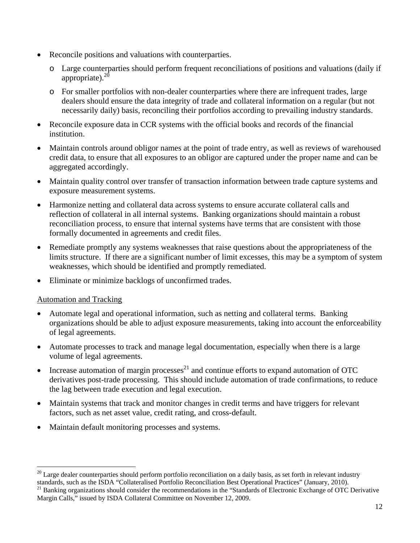- Reconcile positions and valuations with counterparties.
	- o Large counterparties should perform frequent reconciliations of positions and valuations (daily if appropriate). $^{20}$
	- o For smaller portfolios with non-dealer counterparties where there are infrequent trades, large dealers should ensure the data integrity of trade and collateral information on a regular (but not necessarily daily) basis, reconciling their portfolios according to prevailing industry standards.
- Reconcile exposure data in CCR systems with the official books and records of the financial institution.
- Maintain controls around obligor names at the point of trade entry, as well as reviews of warehoused credit data, to ensure that all exposures to an obligor are captured under the proper name and can be aggregated accordingly.
- Maintain quality control over transfer of transaction information between trade capture systems and exposure measurement systems.
- Harmonize netting and collateral data across systems to ensure accurate collateral calls and reflection of collateral in all internal systems. Banking organizations should maintain a robust reconciliation process, to ensure that internal systems have terms that are consistent with those formally documented in agreements and credit files.
- Remediate promptly any systems weaknesses that raise questions about the appropriateness of the limits structure. If there are a significant number of limit excesses, this may be a symptom of system weaknesses, which should be identified and promptly remediated.
- Eliminate or minimize backlogs of unconfirmed trades.

### Automation and Tracking

- Automate legal and operational information, such as netting and collateral terms. Banking organizations should be able to adjust exposure measurements, taking into account the enforceability of legal agreements.
- Automate processes to track and manage legal documentation, especially when there is a large volume of legal agreements.
- Increase automation of margin processes<sup>21</sup> and continue efforts to expand automation of OTC derivatives post-trade processing. This should include automation of trade confirmations, to reduce the lag between trade execution and legal execution.
- Maintain systems that track and monitor changes in credit terms and have triggers for relevant factors, such as net asset value, credit rating, and cross-default.
- Maintain default monitoring processes and systems.

  $20$  Large dealer counterparties should perform portfolio reconciliation on a daily basis, as set forth in relevant industry standards, such as the ISDA "Collateralised Portfolio Reconciliation Best Operational Practices" (January, 2010).<br><sup>21</sup> Banking organizations should consider the recommendations in the "Standards of Electronic Exchange of O

Margin Calls," issued by ISDA Collateral Committee on November 12, 2009.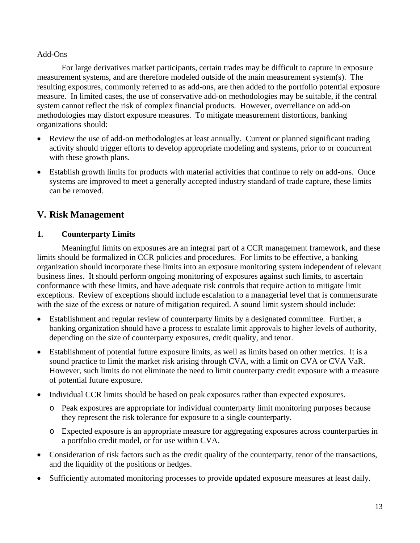### Add-Ons

For large derivatives market participants, certain trades may be difficult to capture in exposure measurement systems, and are therefore modeled outside of the main measurement system(s). The resulting exposures, commonly referred to as add-ons, are then added to the portfolio potential exposure measure. In limited cases, the use of conservative add-on methodologies may be suitable, if the central system cannot reflect the risk of complex financial products. However, overreliance on add-on methodologies may distort exposure measures. To mitigate measurement distortions, banking organizations should:

- Review the use of add-on methodologies at least annually. Current or planned significant trading activity should trigger efforts to develop appropriate modeling and systems, prior to or concurrent with these growth plans.
- Establish growth limits for products with material activities that continue to rely on add-ons. Once systems are improved to meet a generally accepted industry standard of trade capture, these limits can be removed.

# **V. Risk Management**

### **1. Counterparty Limits**

Meaningful limits on exposures are an integral part of a CCR management framework, and these limits should be formalized in CCR policies and procedures. For limits to be effective, a banking organization should incorporate these limits into an exposure monitoring system independent of relevant business lines. It should perform ongoing monitoring of exposures against such limits, to ascertain conformance with these limits, and have adequate risk controls that require action to mitigate limit exceptions. Review of exceptions should include escalation to a managerial level that is commensurate with the size of the excess or nature of mitigation required. A sound limit system should include:

- Establishment and regular review of counterparty limits by a designated committee. Further, a banking organization should have a process to escalate limit approvals to higher levels of authority, depending on the size of counterparty exposures, credit quality, and tenor.
- Establishment of potential future exposure limits, as well as limits based on other metrics. It is a sound practice to limit the market risk arising through CVA, with a limit on CVA or CVA VaR. However, such limits do not eliminate the need to limit counterparty credit exposure with a measure of potential future exposure.
- Individual CCR limits should be based on peak exposures rather than expected exposures.
	- o Peak exposures are appropriate for individual counterparty limit monitoring purposes because they represent the risk tolerance for exposure to a single counterparty.
	- o Expected exposure is an appropriate measure for aggregating exposures across counterparties in a portfolio credit model, or for use within CVA.
- Consideration of risk factors such as the credit quality of the counterparty, tenor of the transactions, and the liquidity of the positions or hedges.
- Sufficiently automated monitoring processes to provide updated exposure measures at least daily.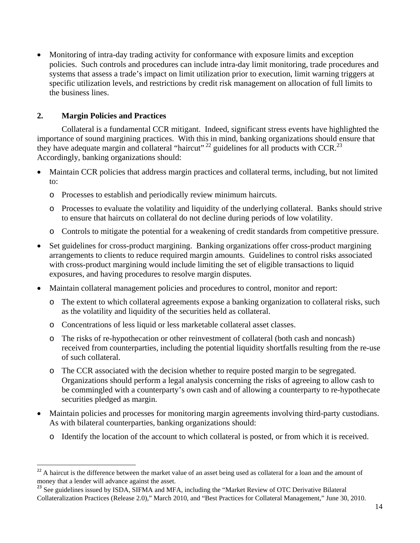Monitoring of intra-day trading activity for conformance with exposure limits and exception policies. Such controls and procedures can include intra-day limit monitoring, trade procedures and systems that assess a trade's impact on limit utilization prior to execution, limit warning triggers at specific utilization levels, and restrictions by credit risk management on allocation of full limits to the business lines.

### **2. Margin Policies and Practices**

Collateral is a fundamental CCR mitigant. Indeed, significant stress events have highlighted the importance of sound margining practices. With this in mind, banking organizations should ensure that they have adequate margin and collateral "haircut"  $^{22}$  guidelines for all products with CCR.<sup>23</sup> Accordingly, banking organizations should:

- Maintain CCR policies that address margin practices and collateral terms, including, but not limited to:
	- o Processes to establish and periodically review minimum haircuts.
	- o Processes to evaluate the volatility and liquidity of the underlying collateral. Banks should strive to ensure that haircuts on collateral do not decline during periods of low volatility.
	- o Controls to mitigate the potential for a weakening of credit standards from competitive pressure.
- Set guidelines for cross-product margining. Banking organizations offer cross-product margining arrangements to clients to reduce required margin amounts. Guidelines to control risks associated with cross-product margining would include limiting the set of eligible transactions to liquid exposures, and having procedures to resolve margin disputes.
- Maintain collateral management policies and procedures to control, monitor and report:
	- o The extent to which collateral agreements expose a banking organization to collateral risks, such as the volatility and liquidity of the securities held as collateral.
	- o Concentrations of less liquid or less marketable collateral asset classes.
	- o The risks of re-hypothecation or other reinvestment of collateral (both cash and noncash) received from counterparties, including the potential liquidity shortfalls resulting from the re-use of such collateral.
	- o The CCR associated with the decision whether to require posted margin to be segregated. Organizations should perform a legal analysis concerning the risks of agreeing to allow cash to be commingled with a counterparty's own cash and of allowing a counterparty to re-hypothecate securities pledged as margin.
- Maintain policies and processes for monitoring margin agreements involving third-party custodians. As with bilateral counterparties, banking organizations should:
	- o Identify the location of the account to which collateral is posted, or from which it is received.

  $2<sup>22</sup>$  A haircut is the difference between the market value of an asset being used as collateral for a loan and the amount of money that a lender will advance against the asset.

<sup>&</sup>lt;sup>23</sup> See guidelines issued by ISDA, SIFMA and MFA, including the "Market Review of OTC Derivative Bilateral Collateralization Practices (Release 2.0)," March 2010, and "Best Practices for Collateral Management," June 30, 2010.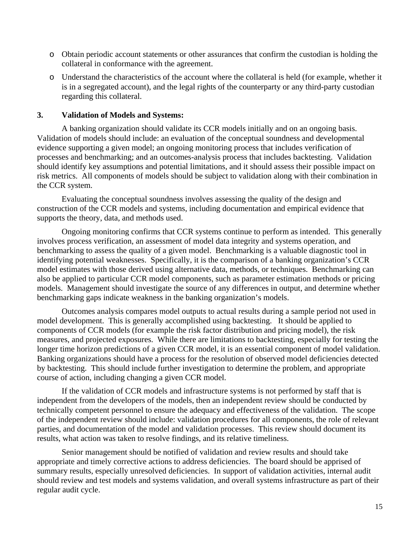- o Obtain periodic account statements or other assurances that confirm the custodian is holding the collateral in conformance with the agreement.
- o Understand the characteristics of the account where the collateral is held (for example, whether it is in a segregated account), and the legal rights of the counterparty or any third-party custodian regarding this collateral.

### **3. Validation of Models and Systems:**

A banking organization should validate its CCR models initially and on an ongoing basis. Validation of models should include: an evaluation of the conceptual soundness and developmental evidence supporting a given model; an ongoing monitoring process that includes verification of processes and benchmarking; and an outcomes-analysis process that includes backtesting. Validation should identify key assumptions and potential limitations, and it should assess their possible impact on risk metrics. All components of models should be subject to validation along with their combination in the CCR system.

Evaluating the conceptual soundness involves assessing the quality of the design and construction of the CCR models and systems, including documentation and empirical evidence that supports the theory, data, and methods used.

Ongoing monitoring confirms that CCR systems continue to perform as intended. This generally involves process verification, an assessment of model data integrity and systems operation, and benchmarking to assess the quality of a given model. Benchmarking is a valuable diagnostic tool in identifying potential weaknesses. Specifically, it is the comparison of a banking organization's CCR model estimates with those derived using alternative data, methods, or techniques. Benchmarking can also be applied to particular CCR model components, such as parameter estimation methods or pricing models. Management should investigate the source of any differences in output, and determine whether benchmarking gaps indicate weakness in the banking organization's models.

Outcomes analysis compares model outputs to actual results during a sample period not used in model development. This is generally accomplished using backtesting. It should be applied to components of CCR models (for example the risk factor distribution and pricing model), the risk measures, and projected exposures. While there are limitations to backtesting, especially for testing the longer time horizon predictions of a given CCR model, it is an essential component of model validation. Banking organizations should have a process for the resolution of observed model deficiencies detected by backtesting. This should include further investigation to determine the problem, and appropriate course of action, including changing a given CCR model.

If the validation of CCR models and infrastructure systems is not performed by staff that is independent from the developers of the models, then an independent review should be conducted by technically competent personnel to ensure the adequacy and effectiveness of the validation. The scope of the independent review should include: validation procedures for all components, the role of relevant parties, and documentation of the model and validation processes. This review should document its results, what action was taken to resolve findings, and its relative timeliness.

Senior management should be notified of validation and review results and should take appropriate and timely corrective actions to address deficiencies. The board should be apprised of summary results, especially unresolved deficiencies. In support of validation activities, internal audit should review and test models and systems validation, and overall systems infrastructure as part of their regular audit cycle.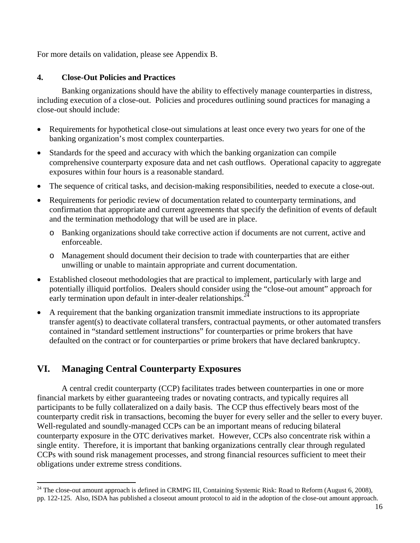For more details on validation, please see Appendix B.

### **4. Close-Out Policies and Practices**

Banking organizations should have the ability to effectively manage counterparties in distress, including execution of a close-out. Policies and procedures outlining sound practices for managing a close-out should include:

- Requirements for hypothetical close-out simulations at least once every two years for one of the banking organization's most complex counterparties.
- Standards for the speed and accuracy with which the banking organization can compile comprehensive counterparty exposure data and net cash outflows. Operational capacity to aggregate exposures within four hours is a reasonable standard.
- The sequence of critical tasks, and decision-making responsibilities, needed to execute a close-out.
- Requirements for periodic review of documentation related to counterparty terminations, and confirmation that appropriate and current agreements that specify the definition of events of default and the termination methodology that will be used are in place.
	- o Banking organizations should take corrective action if documents are not current, active and enforceable.
	- o Management should document their decision to trade with counterparties that are either unwilling or unable to maintain appropriate and current documentation.
- Established closeout methodologies that are practical to implement, particularly with large and potentially illiquid portfolios. Dealers should consider using the "close-out amount" approach for early termination upon default in inter-dealer relationships. $^{24}$
- A requirement that the banking organization transmit immediate instructions to its appropriate transfer agent(s) to deactivate collateral transfers, contractual payments, or other automated transfers contained in "standard settlement instructions" for counterparties or prime brokers that have defaulted on the contract or for counterparties or prime brokers that have declared bankruptcy.

# **VI. Managing Central Counterparty Exposures**

 A central credit counterparty (CCP) facilitates trades between counterparties in one or more financial markets by either guaranteeing trades or novating contracts, and typically requires all participants to be fully collateralized on a daily basis. The CCP thus effectively bears most of the counterparty credit risk in transactions, becoming the buyer for every seller and the seller to every buyer. Well-regulated and soundly-managed CCPs can be an important means of reducing bilateral counterparty exposure in the OTC derivatives market. However, CCPs also concentrate risk within a single entity. Therefore, it is important that banking organizations centrally clear through regulated CCPs with sound risk management processes, and strong financial resources sufficient to meet their obligations under extreme stress conditions.

 $^{24}$  The close-out amount approach is defined in CRMPG III, Containing Systemic Risk: Road to Reform (August 6, 2008), pp. 122-125. Also, ISDA has published a closeout amount protocol to aid in the adoption of the close-out amount approach.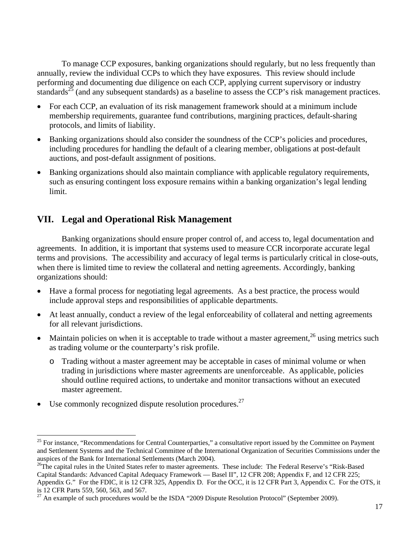To manage CCP exposures, banking organizations should regularly, but no less frequently than annually, review the individual CCPs to which they have exposures. This review should include performing and documenting due diligence on each CCP, applying current supervisory or industry standards<sup>25</sup> (and any subsequent standards) as a baseline to assess the CCP's risk management practices.

- For each CCP, an evaluation of its risk management framework should at a minimum include membership requirements, guarantee fund contributions, margining practices, default-sharing protocols, and limits of liability.
- Banking organizations should also consider the soundness of the CCP's policies and procedures, including procedures for handling the default of a clearing member, obligations at post-default auctions, and post-default assignment of positions.
- Banking organizations should also maintain compliance with applicable regulatory requirements, such as ensuring contingent loss exposure remains within a banking organization's legal lending limit.

# **VII. Legal and Operational Risk Management**

Banking organizations should ensure proper control of, and access to, legal documentation and agreements. In addition, it is important that systems used to measure CCR incorporate accurate legal terms and provisions. The accessibility and accuracy of legal terms is particularly critical in close-outs, when there is limited time to review the collateral and netting agreements. Accordingly, banking organizations should:

- Have a formal process for negotiating legal agreements. As a best practice, the process would include approval steps and responsibilities of applicable departments.
- At least annually, conduct a review of the legal enforceability of collateral and netting agreements for all relevant jurisdictions.
- Maintain policies on when it is acceptable to trade without a master agreement,  $26$  using metrics such as trading volume or the counterparty's risk profile.
	- o Trading without a master agreement may be acceptable in cases of minimal volume or when trading in jurisdictions where master agreements are unenforceable. As applicable, policies should outline required actions, to undertake and monitor transactions without an executed master agreement.
- Use commonly recognized dispute resolution procedures. $27$

<sup>&</sup>lt;sup>25</sup> For instance, "Recommendations for Central Counterparties," a consultative report issued by the Committee on Payment and Settlement Systems and the Technical Committee of the International Organization of Securities Commissions under the auspices of the Bank for International Settlements (March 2004).

<sup>&</sup>lt;sup>26</sup>The capital rules in the United States refer to master agreements. These include: The Federal Reserve's "Risk-Based" Capital Standards: Advanced Capital Adequacy Framework — Basel II", 12 CFR 208; Appendix F, and 12 CFR 225; Appendix G." For the FDIC, it is 12 CFR 325, Appendix D. For the OCC, it is 12 CFR Part 3, Appendix C. For the OTS, it is 12 CFR Parts 559, 560, 563, and 567.

 $27$  An example of such procedures would be the ISDA "2009 Dispute Resolution Protocol" (September 2009).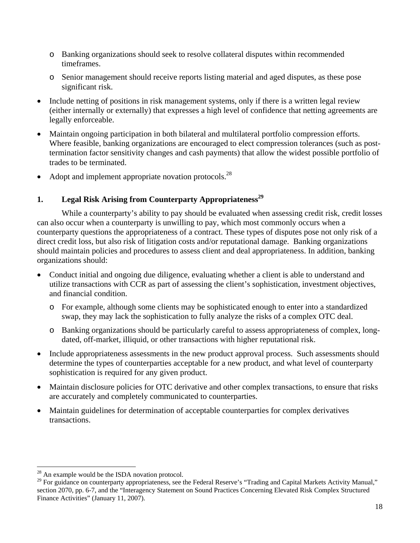- o Banking organizations should seek to resolve collateral disputes within recommended timeframes.
- o Senior management should receive reports listing material and aged disputes, as these pose significant risk.
- Include netting of positions in risk management systems, only if there is a written legal review (either internally or externally) that expresses a high level of confidence that netting agreements are legally enforceable.
- Maintain ongoing participation in both bilateral and multilateral portfolio compression efforts. Where feasible, banking organizations are encouraged to elect compression tolerances (such as posttermination factor sensitivity changes and cash payments) that allow the widest possible portfolio of trades to be terminated.
- $\bullet$  Adopt and implement appropriate novation protocols.<sup>28</sup>

# **1. Legal Risk Arising from Counterparty Appropriateness**<sup>29</sup>

While a counterparty's ability to pay should be evaluated when assessing credit risk, credit losses can also occur when a counterparty is unwilling to pay, which most commonly occurs when a counterparty questions the appropriateness of a contract. These types of disputes pose not only risk of a direct credit loss, but also risk of litigation costs and/or reputational damage. Banking organizations should maintain policies and procedures to assess client and deal appropriateness. In addition, banking organizations should:

- Conduct initial and ongoing due diligence, evaluating whether a client is able to understand and utilize transactions with CCR as part of assessing the client's sophistication, investment objectives, and financial condition.
	- o For example, although some clients may be sophisticated enough to enter into a standardized swap, they may lack the sophistication to fully analyze the risks of a complex OTC deal.
	- o Banking organizations should be particularly careful to assess appropriateness of complex, longdated, off-market, illiquid, or other transactions with higher reputational risk.
- Include appropriateness assessments in the new product approval process. Such assessments should determine the types of counterparties acceptable for a new product, and what level of counterparty sophistication is required for any given product.
- Maintain disclosure policies for OTC derivative and other complex transactions, to ensure that risks are accurately and completely communicated to counterparties.
- Maintain guidelines for determination of acceptable counterparties for complex derivatives transactions.

 $28$  An example would be the ISDA novation protocol.

<sup>&</sup>lt;sup>29</sup> For guidance on counterparty appropriateness, see the Federal Reserve's "Trading and Capital Markets Activity Manual," section 2070, pp. 6-7, and the "Interagency Statement on Sound Practices Concerning Elevated Risk Complex Structured Finance Activities" (January 11, 2007).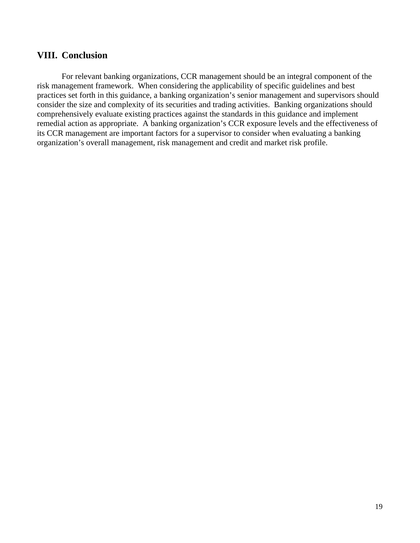# **VIII. Conclusion**

For relevant banking organizations, CCR management should be an integral component of the risk management framework. When considering the applicability of specific guidelines and best practices set forth in this guidance, a banking organization's senior management and supervisors should consider the size and complexity of its securities and trading activities. Banking organizations should comprehensively evaluate existing practices against the standards in this guidance and implement remedial action as appropriate. A banking organization's CCR exposure levels and the effectiveness of its CCR management are important factors for a supervisor to consider when evaluating a banking organization's overall management, risk management and credit and market risk profile.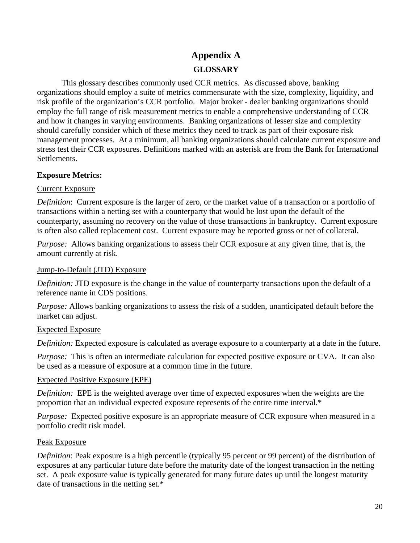**Appendix A GLOSSARY** 

This glossary describes commonly used CCR metrics. As discussed above, banking organizations should employ a suite of metrics commensurate with the size, complexity, liquidity, and risk profile of the organization's CCR portfolio. Major broker - dealer banking organizations should employ the full range of risk measurement metrics to enable a comprehensive understanding of CCR and how it changes in varying environments. Banking organizations of lesser size and complexity should carefully consider which of these metrics they need to track as part of their exposure risk management processes. At a minimum, all banking organizations should calculate current exposure and stress test their CCR exposures. Definitions marked with an asterisk are from the Bank for International Settlements.

## **Exposure Metrics:**

## Current Exposure

*Definition*: Current exposure is the larger of zero, or the market value of a transaction or a portfolio of transactions within a netting set with a counterparty that would be lost upon the default of the counterparty, assuming no recovery on the value of those transactions in bankruptcy. Current exposure is often also called replacement cost. Current exposure may be reported gross or net of collateral.

*Purpose:*Allows banking organizations to assess their CCR exposure at any given time, that is, the amount currently at risk.

### Jump-to-Default (JTD) Exposure

*Definition:* JTD exposure is the change in the value of counterparty transactions upon the default of a reference name in CDS positions.

*Purpose:* Allows banking organizations to assess the risk of a sudden, unanticipated default before the market can adjust.

### Expected Exposure

*Definition:* Expected exposure is calculated as average exposure to a counterparty at a date in the future.

*Purpose:* This is often an intermediate calculation for expected positive exposure or CVA. It can also be used as a measure of exposure at a common time in the future.

### Expected Positive Exposure (EPE)

*Definition:* EPE is the weighted average over time of expected exposures when the weights are the proportion that an individual expected exposure represents of the entire time interval.\*

*Purpose:* Expected positive exposure is an appropriate measure of CCR exposure when measured in a portfolio credit risk model.

# Peak Exposure

*Definition*: Peak exposure is a high percentile (typically 95 percent or 99 percent) of the distribution of exposures at any particular future date before the maturity date of the longest transaction in the netting set. A peak exposure value is typically generated for many future dates up until the longest maturity date of transactions in the netting set.\*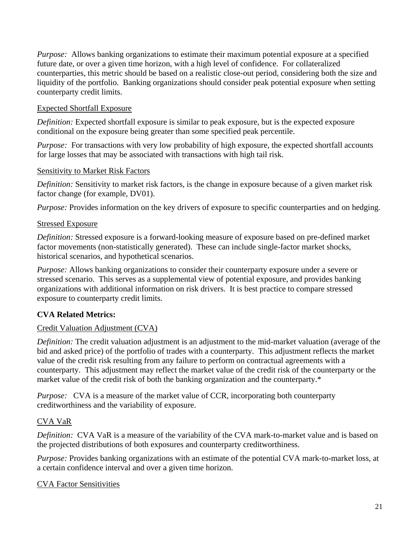*Purpose:* Allows banking organizations to estimate their maximum potential exposure at a specified future date, or over a given time horizon, with a high level of confidence. For collateralized counterparties, this metric should be based on a realistic close-out period, considering both the size and liquidity of the portfolio. Banking organizations should consider peak potential exposure when setting counterparty credit limits.

### Expected Shortfall Exposure

*Definition:* Expected shortfall exposure is similar to peak exposure, but is the expected exposure conditional on the exposure being greater than some specified peak percentile.

*Purpose:* For transactions with very low probability of high exposure, the expected shortfall accounts for large losses that may be associated with transactions with high tail risk.

### Sensitivity to Market Risk Factors

*Definition:* Sensitivity to market risk factors, is the change in exposure because of a given market risk factor change (for example, DV01).

*Purpose:* Provides information on the key drivers of exposure to specific counterparties and on hedging.

## Stressed Exposure

*Definition:* Stressed exposure is a forward-looking measure of exposure based on pre-defined market factor movements (non-statistically generated). These can include single-factor market shocks, historical scenarios, and hypothetical scenarios.

*Purpose:* Allows banking organizations to consider their counterparty exposure under a severe or stressed scenario. This serves as a supplemental view of potential exposure, and provides banking organizations with additional information on risk drivers. It is best practice to compare stressed exposure to counterparty credit limits.

# **CVA Related Metrics:**

# Credit Valuation Adjustment (CVA)

*Definition:* The credit valuation adjustment is an adjustment to the mid-market valuation (average of the bid and asked price) of the portfolio of trades with a counterparty. This adjustment reflects the market value of the credit risk resulting from any failure to perform on contractual agreements with a counterparty. This adjustment may reflect the market value of the credit risk of the counterparty or the market value of the credit risk of both the banking organization and the counterparty.\*

*Purpose:* CVA is a measure of the market value of CCR, incorporating both counterparty creditworthiness and the variability of exposure.

# CVA VaR

*Definition:* CVA VaR is a measure of the variability of the CVA mark-to-market value and is based on the projected distributions of both exposures and counterparty creditworthiness.

*Purpose:* Provides banking organizations with an estimate of the potential CVA mark-to-market loss, at a certain confidence interval and over a given time horizon.

### CVA Factor Sensitivities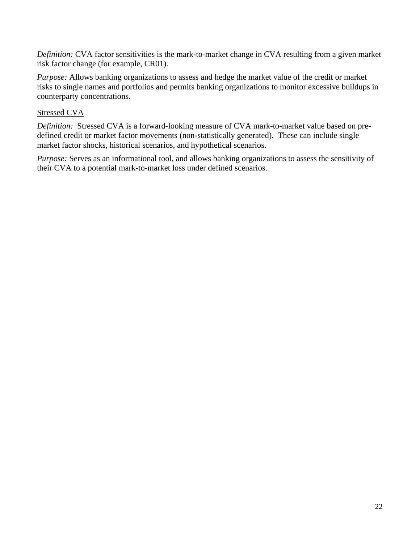*Definition:* CVA factor sensitivities is the mark-to-market change in CVA resulting from a given market risk factor change (for example, CR01).

*Purpose:* Allows banking organizations to assess and hedge the market value of the credit or market risks to single names and portfolios and permits banking organizations to monitor excessive buildups in counterparty concentrations.

# Stressed CVA

*Definition:* Stressed CVA is a forward-looking measure of CVA mark-to-market value based on predefined credit or market factor movements (non-statistically generated). These can include single market factor shocks, historical scenarios, and hypothetical scenarios.

*Purpose:* Serves as an informational tool, and allows banking organizations to assess the sensitivity of their CVA to a potential mark-to-market loss under defined scenarios.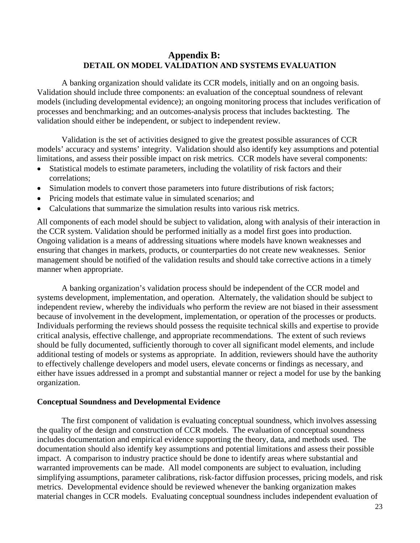# **Appendix B: DETAIL ON MODEL VALIDATION AND SYSTEMS EVALUATION**

A banking organization should validate its CCR models, initially and on an ongoing basis. Validation should include three components: an evaluation of the conceptual soundness of relevant models (including developmental evidence); an ongoing monitoring process that includes verification of processes and benchmarking; and an outcomes-analysis process that includes backtesting. The validation should either be independent, or subject to independent review.

Validation is the set of activities designed to give the greatest possible assurances of CCR models' accuracy and systems' integrity. Validation should also identify key assumptions and potential limitations, and assess their possible impact on risk metrics. CCR models have several components:

- Statistical models to estimate parameters, including the volatility of risk factors and their correlations;
- Simulation models to convert those parameters into future distributions of risk factors;
- Pricing models that estimate value in simulated scenarios; and
- Calculations that summarize the simulation results into various risk metrics.

All components of each model should be subject to validation, along with analysis of their interaction in the CCR system. Validation should be performed initially as a model first goes into production. Ongoing validation is a means of addressing situations where models have known weaknesses and ensuring that changes in markets, products, or counterparties do not create new weaknesses. Senior management should be notified of the validation results and should take corrective actions in a timely manner when appropriate.

A banking organization's validation process should be independent of the CCR model and systems development, implementation, and operation. Alternately, the validation should be subject to independent review, whereby the individuals who perform the review are not biased in their assessment because of involvement in the development, implementation, or operation of the processes or products. Individuals performing the reviews should possess the requisite technical skills and expertise to provide critical analysis, effective challenge, and appropriate recommendations. The extent of such reviews should be fully documented, sufficiently thorough to cover all significant model elements, and include additional testing of models or systems as appropriate. In addition, reviewers should have the authority to effectively challenge developers and model users, elevate concerns or findings as necessary, and either have issues addressed in a prompt and substantial manner or reject a model for use by the banking organization.

#### **Conceptual Soundness and Developmental Evidence**

The first component of validation is evaluating conceptual soundness, which involves assessing the quality of the design and construction of CCR models. The evaluation of conceptual soundness includes documentation and empirical evidence supporting the theory, data, and methods used. The documentation should also identify key assumptions and potential limitations and assess their possible impact. A comparison to industry practice should be done to identify areas where substantial and warranted improvements can be made. All model components are subject to evaluation, including simplifying assumptions, parameter calibrations, risk-factor diffusion processes, pricing models, and risk metrics. Developmental evidence should be reviewed whenever the banking organization makes material changes in CCR models. Evaluating conceptual soundness includes independent evaluation of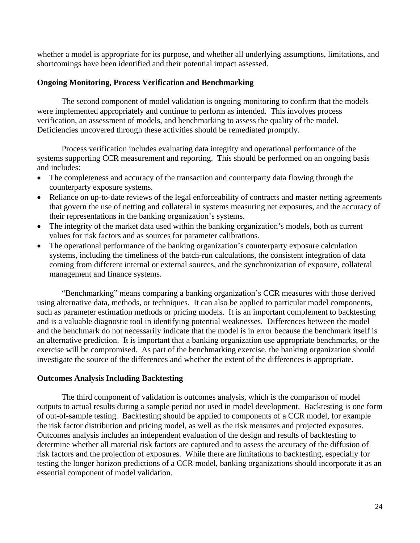whether a model is appropriate for its purpose, and whether all underlying assumptions, limitations, and shortcomings have been identified and their potential impact assessed.

### **Ongoing Monitoring, Process Verification and Benchmarking**

The second component of model validation is ongoing monitoring to confirm that the models were implemented appropriately and continue to perform as intended. This involves process verification, an assessment of models, and benchmarking to assess the quality of the model. Deficiencies uncovered through these activities should be remediated promptly.

Process verification includes evaluating data integrity and operational performance of the systems supporting CCR measurement and reporting. This should be performed on an ongoing basis and includes:

- The completeness and accuracy of the transaction and counterparty data flowing through the counterparty exposure systems.
- Reliance on up-to-date reviews of the legal enforceability of contracts and master netting agreements that govern the use of netting and collateral in systems measuring net exposures, and the accuracy of their representations in the banking organization's systems.
- The integrity of the market data used within the banking organization's models, both as current values for risk factors and as sources for parameter calibrations.
- The operational performance of the banking organization's counterparty exposure calculation systems, including the timeliness of the batch-run calculations, the consistent integration of data coming from different internal or external sources, and the synchronization of exposure, collateral management and finance systems.

"Benchmarking" means comparing a banking organization's CCR measures with those derived using alternative data, methods, or techniques. It can also be applied to particular model components, such as parameter estimation methods or pricing models. It is an important complement to backtesting and is a valuable diagnostic tool in identifying potential weaknesses. Differences between the model and the benchmark do not necessarily indicate that the model is in error because the benchmark itself is an alternative prediction. It is important that a banking organization use appropriate benchmarks, or the exercise will be compromised. As part of the benchmarking exercise, the banking organization should investigate the source of the differences and whether the extent of the differences is appropriate.

### **Outcomes Analysis Including Backtesting**

The third component of validation is outcomes analysis, which is the comparison of model outputs to actual results during a sample period not used in model development. Backtesting is one form of out-of-sample testing. Backtesting should be applied to components of a CCR model, for example the risk factor distribution and pricing model, as well as the risk measures and projected exposures. Outcomes analysis includes an independent evaluation of the design and results of backtesting to determine whether all material risk factors are captured and to assess the accuracy of the diffusion of risk factors and the projection of exposures. While there are limitations to backtesting, especially for testing the longer horizon predictions of a CCR model, banking organizations should incorporate it as an essential component of model validation.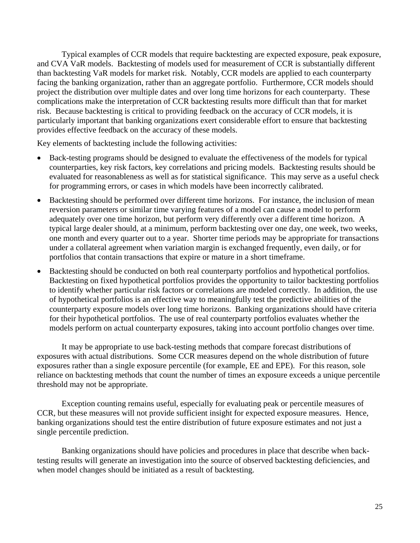Typical examples of CCR models that require backtesting are expected exposure, peak exposure, and CVA VaR models. Backtesting of models used for measurement of CCR is substantially different than backtesting VaR models for market risk. Notably, CCR models are applied to each counterparty facing the banking organization, rather than an aggregate portfolio. Furthermore, CCR models should project the distribution over multiple dates and over long time horizons for each counterparty. These complications make the interpretation of CCR backtesting results more difficult than that for market risk. Because backtesting is critical to providing feedback on the accuracy of CCR models, it is particularly important that banking organizations exert considerable effort to ensure that backtesting provides effective feedback on the accuracy of these models.

Key elements of backtesting include the following activities:

- Back-testing programs should be designed to evaluate the effectiveness of the models for typical counterparties, key risk factors, key correlations and pricing models. Backtesting results should be evaluated for reasonableness as well as for statistical significance. This may serve as a useful check for programming errors, or cases in which models have been incorrectly calibrated.
- Backtesting should be performed over different time horizons. For instance, the inclusion of mean reversion parameters or similar time varying features of a model can cause a model to perform adequately over one time horizon, but perform very differently over a different time horizon. A typical large dealer should, at a minimum, perform backtesting over one day, one week, two weeks, one month and every quarter out to a year. Shorter time periods may be appropriate for transactions under a collateral agreement when variation margin is exchanged frequently, even daily, or for portfolios that contain transactions that expire or mature in a short timeframe.
- Backtesting should be conducted on both real counterparty portfolios and hypothetical portfolios. Backtesting on fixed hypothetical portfolios provides the opportunity to tailor backtesting portfolios to identify whether particular risk factors or correlations are modeled correctly. In addition, the use of hypothetical portfolios is an effective way to meaningfully test the predictive abilities of the counterparty exposure models over long time horizons. Banking organizations should have criteria for their hypothetical portfolios. The use of real counterparty portfolios evaluates whether the models perform on actual counterparty exposures, taking into account portfolio changes over time.

It may be appropriate to use back-testing methods that compare forecast distributions of exposures with actual distributions. Some CCR measures depend on the whole distribution of future exposures rather than a single exposure percentile (for example, EE and EPE). For this reason, sole reliance on backtesting methods that count the number of times an exposure exceeds a unique percentile threshold may not be appropriate.

Exception counting remains useful, especially for evaluating peak or percentile measures of CCR, but these measures will not provide sufficient insight for expected exposure measures. Hence, banking organizations should test the entire distribution of future exposure estimates and not just a single percentile prediction.

Banking organizations should have policies and procedures in place that describe when backtesting results will generate an investigation into the source of observed backtesting deficiencies, and when model changes should be initiated as a result of backtesting.